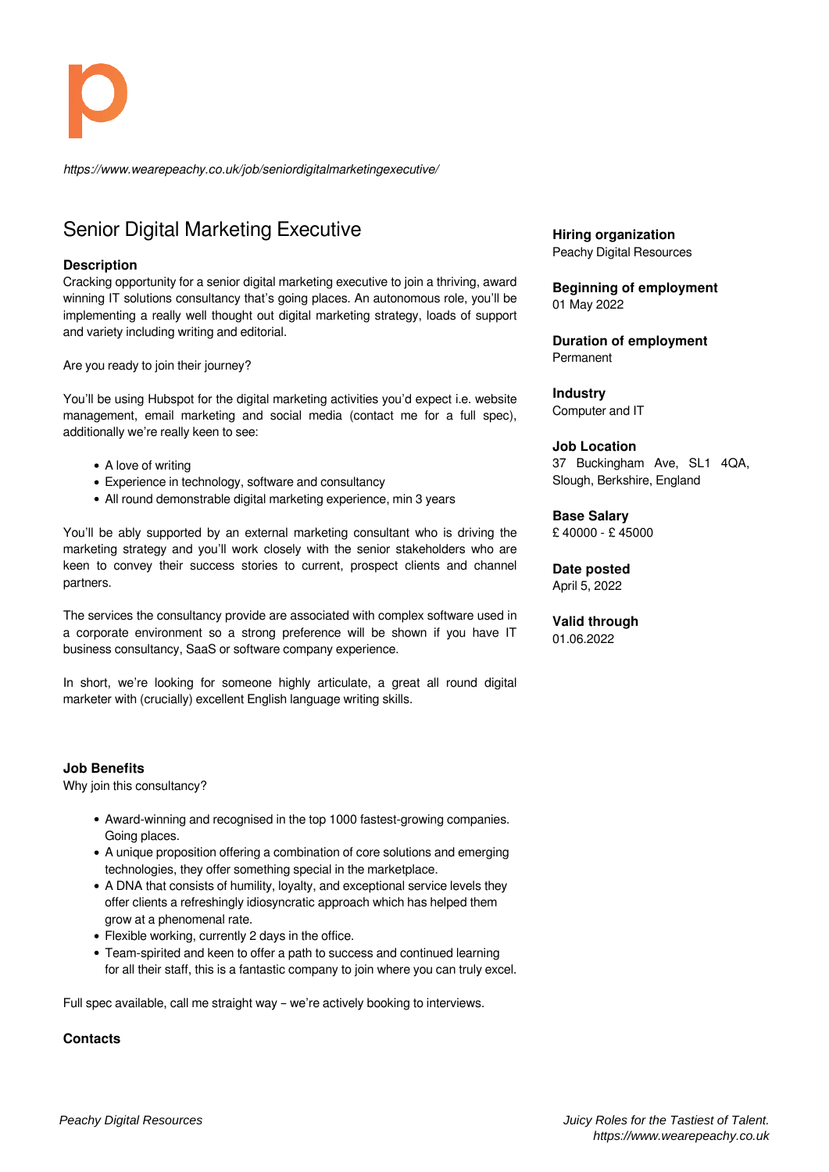*https://www.wearepeachy.co.uk/job/seniordigitalmarketingexecutive/*

# Senior Digital Marketing Executive

### **Description**

Cracking opportunity for a senior digital marketing executive to join a thriving, award winning IT solutions consultancy that's going places. An autonomous role, you'll be implementing a really well thought out digital marketing strategy, loads of support and variety including writing and editorial.

Are you ready to join their journey?

You'll be using Hubspot for the digital marketing activities you'd expect i.e. website management, email marketing and social media (contact me for a full spec), additionally we're really keen to see:

- A love of writing
- Experience in technology, software and consultancy
- All round demonstrable digital marketing experience, min 3 years

You'll be ably supported by an external marketing consultant who is driving the marketing strategy and you'll work closely with the senior stakeholders who are keen to convey their success stories to current, prospect clients and channel partners.

The services the consultancy provide are associated with complex software used in a corporate environment so a strong preference will be shown if you have IT business consultancy, SaaS or software company experience.

In short, we're looking for someone highly articulate, a great all round digital marketer with (crucially) excellent English language writing skills.

### **Job Benefits**

Why join this consultancy?

- Award-winning and recognised in the top 1000 fastest-growing companies. Going places.
- A unique proposition offering a combination of core solutions and emerging technologies, they offer something special in the marketplace.
- A DNA that consists of humility, loyalty, and exceptional service levels they offer clients a refreshingly idiosyncratic approach which has helped them grow at a phenomenal rate.
- Flexible working, currently 2 days in the office.
- Team-spirited and keen to offer a path to success and continued learning for all their staff, this is a fantastic company to join where you can truly excel.

Full spec available, call me straight way – we're actively booking to interviews.

### **Contacts**

**Hiring organization** Peachy Digital Resources

#### **Beginning of employment** 01 May 2022

**Duration of employment** Permanent

**Industry** Computer and IT

#### **Job Location**

37 Buckingham Ave, SL1 4QA, Slough, Berkshire, England

**Base Salary** £ 40000 - £ 45000

**Date posted** April 5, 2022

**Valid through** 01.06.2022